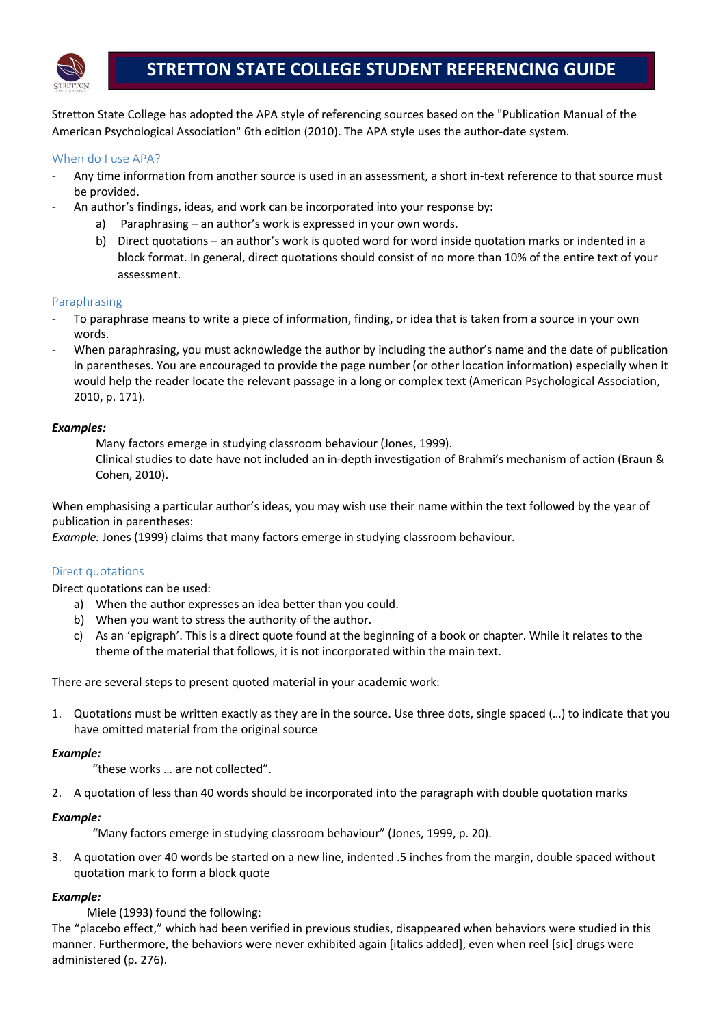

Stretton State College has adopted the APA style of referencing sources based on the "Publication Manual of the American Psychological Association" 6th edition (2010). The APA style uses the author-date system.

# When do I use APA?

- Any time information from another source is used in an assessment, a short in-text reference to that source must be provided.
	- An author's findings, ideas, and work can be incorporated into your response by:
		- a) Paraphrasing an author's work is expressed in your own words.
		- b) Direct quotations an author's work is quoted word for word inside quotation marks or indented in a block format. In general, direct quotations should consist of no more than 10% of the entire text of your assessment.

## Paraphrasing

- To paraphrase means to write a piece of information, finding, or idea that is taken from a source in your own words.
- When paraphrasing, you must acknowledge the author by including the author's name and the date of publication in parentheses. You are encouraged to provide the page number (or other location information) especially when it would help the reader locate the relevant passage in a long or complex text (American Psychological Association, 2010, p. 171).

## *Examples:*

Many factors emerge in studying classroom behaviour (Jones, 1999). Clinical studies to date have not included an in-depth investigation of Brahmi's mechanism of action (Braun & Cohen, 2010).

When emphasising a particular author's ideas, you may wish use their name within the text followed by the year of publication in parentheses:

*Example:* Jones (1999) claims that many factors emerge in studying classroom behaviour.

# Direct quotations

Direct quotations can be used:

- a) When the author expresses an idea better than you could.
- b) When you want to stress the authority of the author.
- c) As an 'epigraph'. This is a direct quote found at the beginning of a book or chapter. While it relates to the theme of the material that follows, it is not incorporated within the main text.

There are several steps to present quoted material in your academic work:

1. Quotations must be written exactly as they are in the source. Use three dots, single spaced (…) to indicate that you have omitted material from the original source

#### *Example:*

"these works … are not collected".

2. A quotation of less than 40 words should be incorporated into the paragraph with double quotation marks

#### *Example:*

"Many factors emerge in studying classroom behaviour" (Jones, 1999, p. 20).

3. A quotation over 40 words be started on a new line, indented .5 inches from the margin, double spaced without quotation mark to form a block quote

# *Example:*

Miele (1993) found the following:

The "placebo effect," which had been verified in previous studies, disappeared when behaviors were studied in this manner. Furthermore, the behaviors were never exhibited again [italics added], even when reel [sic] drugs were administered (p. 276).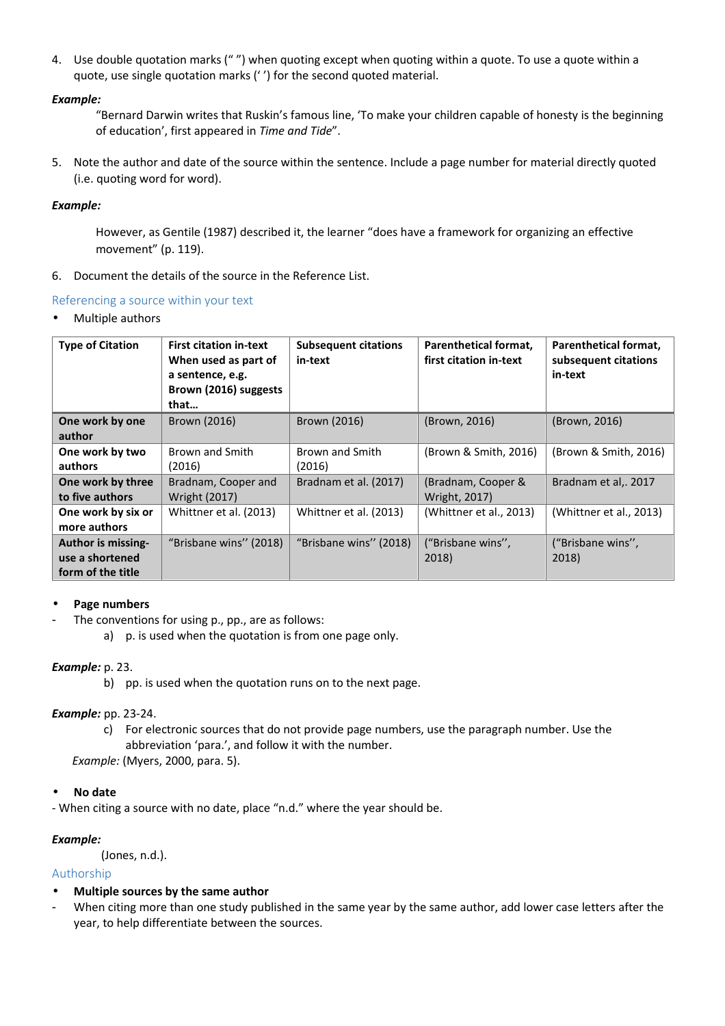4. Use double quotation marks (" ") when quoting except when quoting within a quote. To use a quote within a quote, use single quotation marks (' ') for the second quoted material.

### *Example:*

"Bernard Darwin writes that Ruskin's famous line, 'To make your children capable of honesty is the beginning of education', first appeared in *Time and Tide*".

5. Note the author and date of the source within the sentence. Include a page number for material directly quoted (i.e. quoting word for word).

#### *Example:*

However, as Gentile (1987) described it, the learner "does have a framework for organizing an effective movement" (p. 119).

6. Document the details of the source in the Reference List.

#### Referencing a source within your text

• Multiple authors

| <b>Type of Citation</b>                                           | <b>First citation in-text</b><br>When used as part of<br>a sentence, e.g.<br>Brown (2016) suggests<br>that | <b>Subsequent citations</b><br>in-text | Parenthetical format,<br>first citation in-text | Parenthetical format,<br>subsequent citations<br>in-text |
|-------------------------------------------------------------------|------------------------------------------------------------------------------------------------------------|----------------------------------------|-------------------------------------------------|----------------------------------------------------------|
| One work by one<br>author                                         | Brown (2016)                                                                                               | Brown (2016)                           | (Brown, 2016)                                   | (Brown, 2016)                                            |
| One work by two<br>authors                                        | Brown and Smith<br>(2016)                                                                                  | <b>Brown and Smith</b><br>(2016)       | (Brown & Smith, 2016)                           | (Brown & Smith, 2016)                                    |
| One work by three<br>to five authors                              | Bradnam, Cooper and<br><b>Wright (2017)</b>                                                                | Bradnam et al. (2017)                  | (Bradnam, Cooper &<br><b>Wright, 2017)</b>      | Bradnam et al,. 2017                                     |
| One work by six or<br>more authors                                | Whittner et al. (2013)                                                                                     | Whittner et al. (2013)                 | (Whittner et al., 2013)                         | (Whittner et al., 2013)                                  |
| <b>Author is missing-</b><br>use a shortened<br>form of the title | "Brisbane wins" (2018)                                                                                     | "Brisbane wins" (2018)                 | ("Brisbane wins",<br>2018)                      | ("Brisbane wins",<br>2018)                               |

#### • **Page numbers**

- The conventions for using p., pp., are as follows:
	- a) p. is used when the quotation is from one page only.

#### *Example:* p. 23.

b) pp. is used when the quotation runs on to the next page.

#### *Example:* pp. 23-24.

c) For electronic sources that do not provide page numbers, use the paragraph number. Use the abbreviation 'para.', and follow it with the number.

 *Example:* (Myers, 2000, para. 5).

#### • **No date**

- When citing a source with no date, place "n.d." where the year should be.

#### *Example:*

```
 (Jones, n.d.).
```
#### Authorship

- **Multiple sources by the same author**
- When citing more than one study published in the same year by the same author, add lower case letters after the year, to help differentiate between the sources.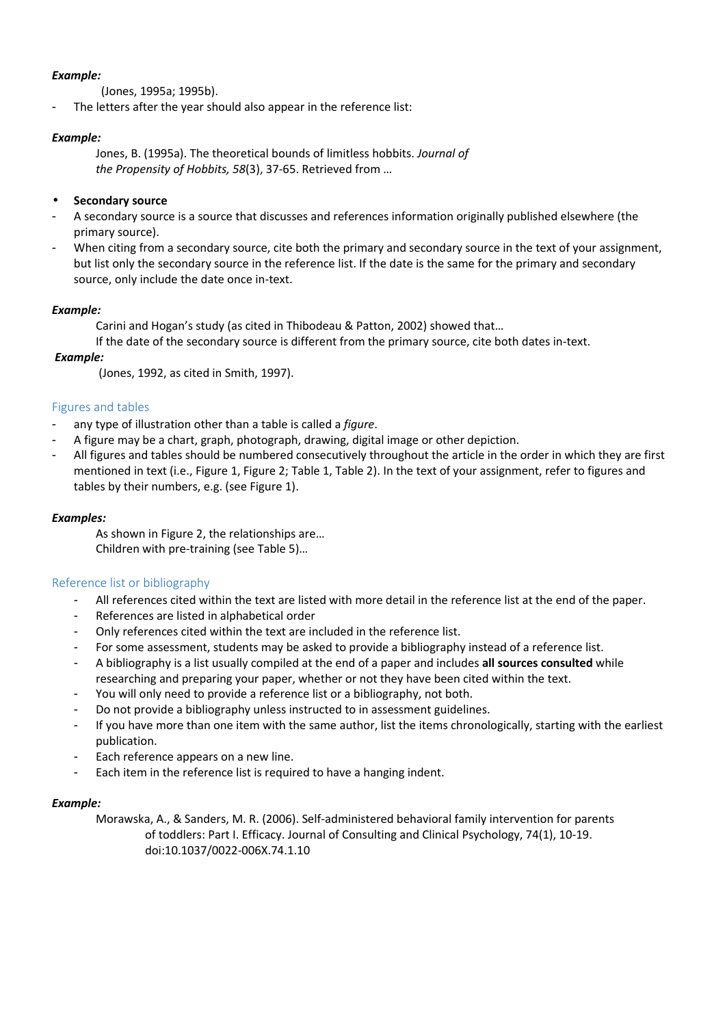### *Example:*

(Jones, 1995a; 1995b).

The letters after the year should also appear in the reference list:

## *Example:*

Jones, B. (1995a). The theoretical bounds of limitless hobbits. *Journal of the Propensity of Hobbits, 58*(3), 37-65. Retrieved from …

### • **Secondary source**

- A secondary source is a source that discusses and references information originally published elsewhere (the primary source).
- When citing from a secondary source, cite both the primary and secondary source in the text of your assignment, but list only the secondary source in the reference list. If the date is the same for the primary and secondary source, only include the date once in-text.

#### *Example:*

Carini and Hogan's study (as cited in Thibodeau & Patton, 2002) showed that…

If the date of the secondary source is different from the primary source, cite both dates in-text.

#### *Example:*

(Jones, 1992, as cited in Smith, 1997).

#### Figures and tables

- any type of illustration other than a table is called a *figure*.
- A figure may be a chart, graph, photograph, drawing, digital image or other depiction.
- All figures and tables should be numbered consecutively throughout the article in the order in which they are first mentioned in text (i.e., Figure 1, Figure 2; Table 1, Table 2). In the text of your assignment, refer to figures and tables by their numbers, e.g. (see Figure 1).

#### *Examples:*

As shown in Figure 2, the relationships are… Children with pre-training (see Table 5)…

#### Reference list or bibliography

- All references cited within the text are listed with more detail in the reference list at the end of the paper.
- References are listed in alphabetical order
- Only references cited within the text are included in the reference list.
- For some assessment, students may be asked to provide a bibliography instead of a reference list.
- A bibliography is a list usually compiled at the end of a paper and includes **all sources consulted** while researching and preparing your paper, whether or not they have been cited within the text.
- You will only need to provide a reference list or a bibliography, not both.
- Do not provide a bibliography unless instructed to in assessment guidelines.
- If you have more than one item with the same author, list the items chronologically, starting with the earliest publication.
- Each reference appears on a new line.
- Each item in the reference list is required to have a hanging indent.

#### *Example:*

Morawska, A., & Sanders, M. R. (2006). Self-administered behavioral family intervention for parents of toddlers: Part I. Efficacy. Journal of Consulting and Clinical Psychology, 74(1), 10-19. doi:10.1037/0022-006X.74.1.10